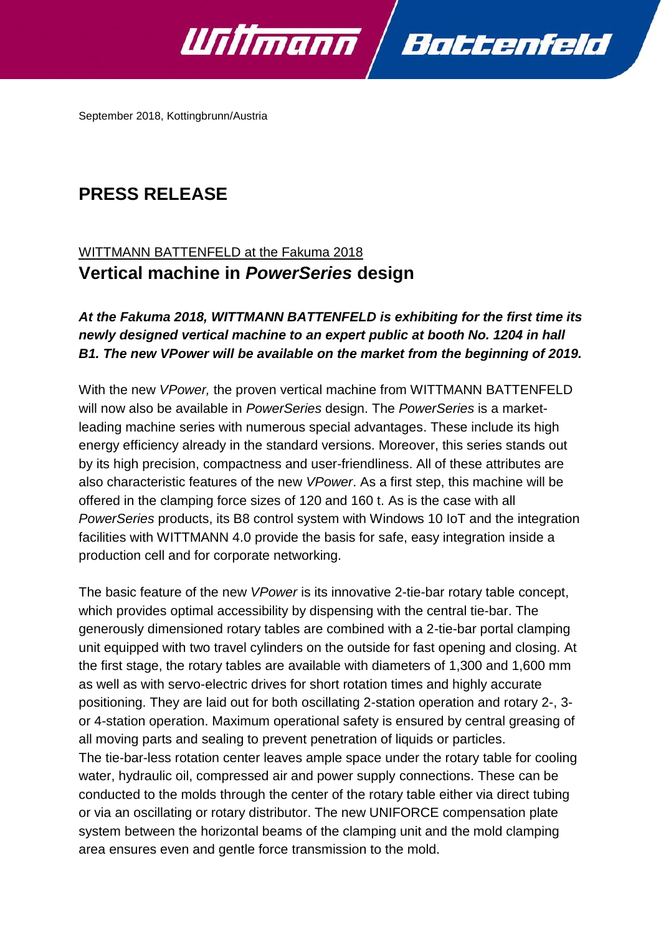

September 2018, Kottingbrunn/Austria

# **PRESS RELEASE**

## WITTMANN BATTENFELD at the Fakuma 2018 **Vertical machine in** *PowerSeries* **design**

## *At the Fakuma 2018, WITTMANN BATTENFELD is exhibiting for the first time its newly designed vertical machine to an expert public at booth No. 1204 in hall B1. The new VPower will be available on the market from the beginning of 2019.*

With the new *VPower,* the proven vertical machine from WITTMANN BATTENFELD will now also be available in *PowerSeries* design. The *PowerSeries* is a marketleading machine series with numerous special advantages. These include its high energy efficiency already in the standard versions. Moreover, this series stands out by its high precision, compactness and user-friendliness. All of these attributes are also characteristic features of the new *VPower*. As a first step, this machine will be offered in the clamping force sizes of 120 and 160 t. As is the case with all *PowerSeries* products, its B8 control system with Windows 10 IoT and the integration facilities with WITTMANN 4.0 provide the basis for safe, easy integration inside a production cell and for corporate networking.

The basic feature of the new *VPower* is its innovative 2-tie-bar rotary table concept, which provides optimal accessibility by dispensing with the central tie-bar. The generously dimensioned rotary tables are combined with a 2-tie-bar portal clamping unit equipped with two travel cylinders on the outside for fast opening and closing. At the first stage, the rotary tables are available with diameters of 1,300 and 1,600 mm as well as with servo-electric drives for short rotation times and highly accurate positioning. They are laid out for both oscillating 2-station operation and rotary 2-, 3 or 4-station operation. Maximum operational safety is ensured by central greasing of all moving parts and sealing to prevent penetration of liquids or particles. The tie-bar-less rotation center leaves ample space under the rotary table for cooling water, hydraulic oil, compressed air and power supply connections. These can be conducted to the molds through the center of the rotary table either via direct tubing or via an oscillating or rotary distributor. The new UNIFORCE compensation plate system between the horizontal beams of the clamping unit and the mold clamping area ensures even and gentle force transmission to the mold.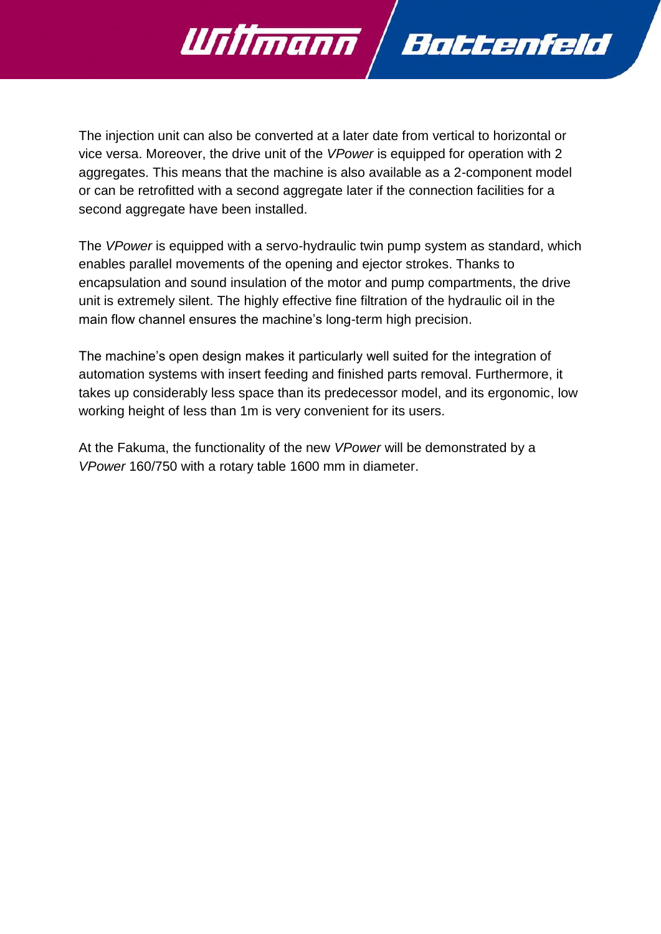

The injection unit can also be converted at a later date from vertical to horizontal or vice versa. Moreover, the drive unit of the *VPower* is equipped for operation with 2 aggregates. This means that the machine is also available as a 2-component model or can be retrofitted with a second aggregate later if the connection facilities for a second aggregate have been installed.

The *VPower* is equipped with a servo-hydraulic twin pump system as standard, which enables parallel movements of the opening and ejector strokes. Thanks to encapsulation and sound insulation of the motor and pump compartments, the drive unit is extremely silent. The highly effective fine filtration of the hydraulic oil in the main flow channel ensures the machine's long-term high precision.

The machine's open design makes it particularly well suited for the integration of automation systems with insert feeding and finished parts removal. Furthermore, it takes up considerably less space than its predecessor model, and its ergonomic, low working height of less than 1m is very convenient for its users.

At the Fakuma, the functionality of the new *VPower* will be demonstrated by a *VPower* 160/750 with a rotary table 1600 mm in diameter.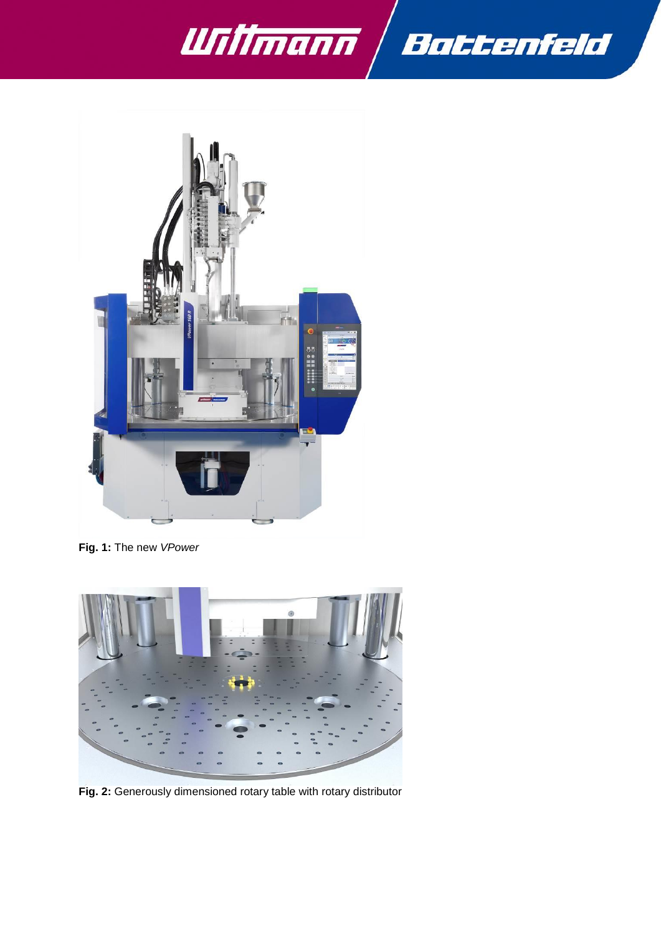



**Fig. 1:** The new *VPower*



**Fig. 2:** Generously dimensioned rotary table with rotary distributor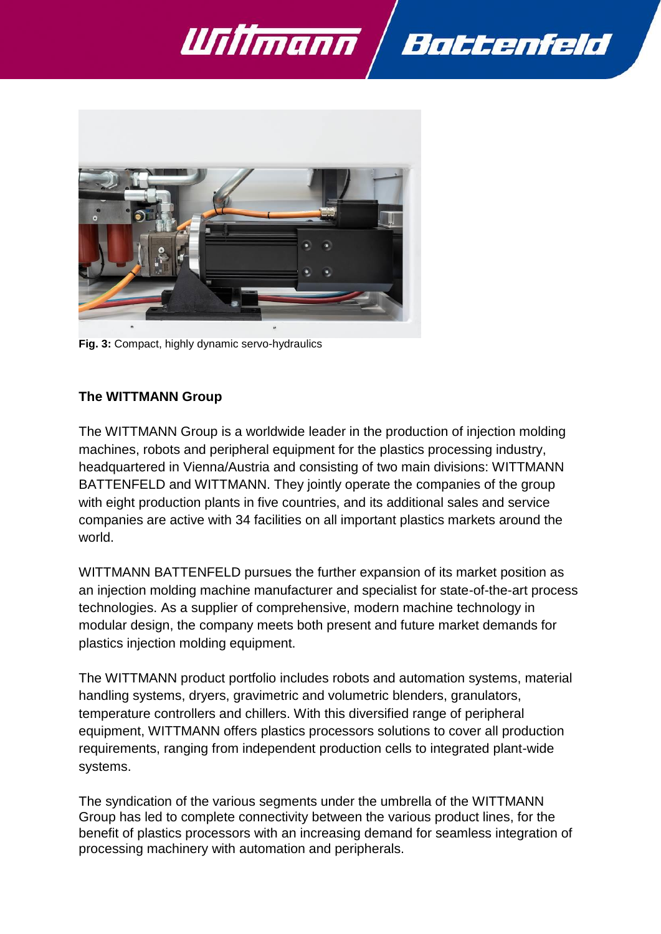



**Fig. 3:** Compact, highly dynamic servo-hydraulics

#### **The WITTMANN Group**

The WITTMANN Group is a worldwide leader in the production of injection molding machines, robots and peripheral equipment for the plastics processing industry, headquartered in Vienna/Austria and consisting of two main divisions: WITTMANN BATTENFELD and WITTMANN. They jointly operate the companies of the group with eight production plants in five countries, and its additional sales and service companies are active with 34 facilities on all important plastics markets around the world.

WITTMANN BATTENFELD pursues the further expansion of its market position as an injection molding machine manufacturer and specialist for state-of-the-art process technologies. As a supplier of comprehensive, modern machine technology in modular design, the company meets both present and future market demands for plastics injection molding equipment.

The WITTMANN product portfolio includes robots and automation systems, material handling systems, dryers, gravimetric and volumetric blenders, granulators, temperature controllers and chillers. With this diversified range of peripheral equipment, WITTMANN offers plastics processors solutions to cover all production requirements, ranging from independent production cells to integrated plant-wide systems.

The syndication of the various segments under the umbrella of the WITTMANN Group has led to complete connectivity between the various product lines, for the benefit of plastics processors with an increasing demand for seamless integration of processing machinery with automation and peripherals.